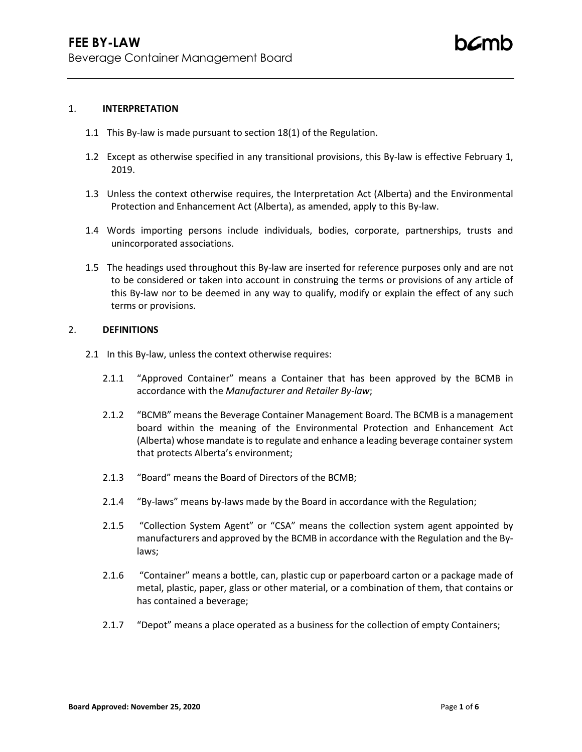#### 1. **INTERPRETATION**

- 1.1 This By-law is made pursuant to section 18(1) of the Regulation.
- 1.2 Except as otherwise specified in any transitional provisions, this By-law is effective February 1, 2019.
- 1.3 Unless the context otherwise requires, the Interpretation Act (Alberta) and the Environmental Protection and Enhancement Act (Alberta), as amended, apply to this By-law.
- 1.4 Words importing persons include individuals, bodies, corporate, partnerships, trusts and unincorporated associations.
- 1.5 The headings used throughout this By-law are inserted for reference purposes only and are not to be considered or taken into account in construing the terms or provisions of any article of this By-law nor to be deemed in any way to qualify, modify or explain the effect of any such terms or provisions.

### 2. **DEFINITIONS**

- 2.1 In this By-law, unless the context otherwise requires:
	- 2.1.1 "Approved Container" means a Container that has been approved by the BCMB in accordance with the *Manufacturer and Retailer By-law*;
	- 2.1.2 "BCMB" means the Beverage Container Management Board. The BCMB is a management board within the meaning of the Environmental Protection and Enhancement Act (Alberta) whose mandate is to regulate and enhance a leading beverage container system that protects Alberta's environment;
	- 2.1.3 "Board" means the Board of Directors of the BCMB;
	- 2.1.4 "By-laws" means by-laws made by the Board in accordance with the Regulation;
	- 2.1.5 "Collection System Agent" or "CSA" means the collection system agent appointed by manufacturers and approved by the BCMB in accordance with the Regulation and the Bylaws;
	- 2.1.6 "Container" means a bottle, can, plastic cup or paperboard carton or a package made of metal, plastic, paper, glass or other material, or a combination of them, that contains or has contained a beverage;
	- 2.1.7 "Depot" means a place operated as a business for the collection of empty Containers;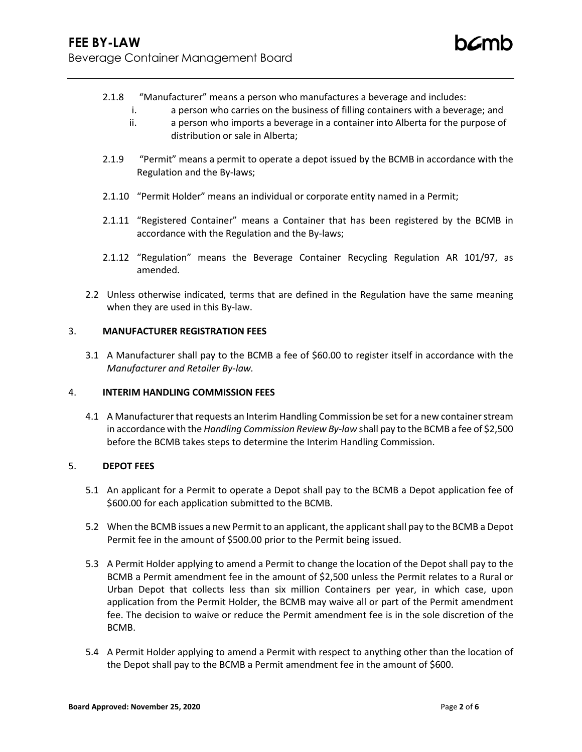- 2.1.8 "Manufacturer" means a person who manufactures a beverage and includes:
	- i. a person who carries on the business of filling containers with a beverage; and
	- ii. a person who imports a beverage in a container into Alberta for the purpose of distribution or sale in Alberta;
- 2.1.9 "Permit" means a permit to operate a depot issued by the BCMB in accordance with the Regulation and the By-laws;
- 2.1.10 "Permit Holder" means an individual or corporate entity named in a Permit;
- 2.1.11 "Registered Container" means a Container that has been registered by the BCMB in accordance with the Regulation and the By-laws;
- 2.1.12 "Regulation" means the Beverage Container Recycling Regulation AR 101/97, as amended.
- 2.2 Unless otherwise indicated, terms that are defined in the Regulation have the same meaning when they are used in this By-law.

## 3. **MANUFACTURER REGISTRATION FEES**

3.1 A Manufacturer shall pay to the BCMB a fee of \$60.00 to register itself in accordance with the *Manufacturer and Retailer By-law.*

## 4. **INTERIM HANDLING COMMISSION FEES**

4.1 A Manufacturer that requests an Interim Handling Commission be set for a new container stream in accordance with the *Handling Commission Review By-law* shall pay to the BCMB a fee of \$2,500 before the BCMB takes steps to determine the Interim Handling Commission.

### 5. **DEPOT FEES**

- 5.1 An applicant for a Permit to operate a Depot shall pay to the BCMB a Depot application fee of \$600.00 for each application submitted to the BCMB.
- 5.2 When the BCMB issues a new Permit to an applicant, the applicant shall pay to the BCMB a Depot Permit fee in the amount of \$500.00 prior to the Permit being issued.
- 5.3 A Permit Holder applying to amend a Permit to change the location of the Depot shall pay to the BCMB a Permit amendment fee in the amount of \$2,500 unless the Permit relates to a Rural or Urban Depot that collects less than six million Containers per year, in which case, upon application from the Permit Holder, the BCMB may waive all or part of the Permit amendment fee. The decision to waive or reduce the Permit amendment fee is in the sole discretion of the BCMB.
- 5.4 A Permit Holder applying to amend a Permit with respect to anything other than the location of the Depot shall pay to the BCMB a Permit amendment fee in the amount of \$600.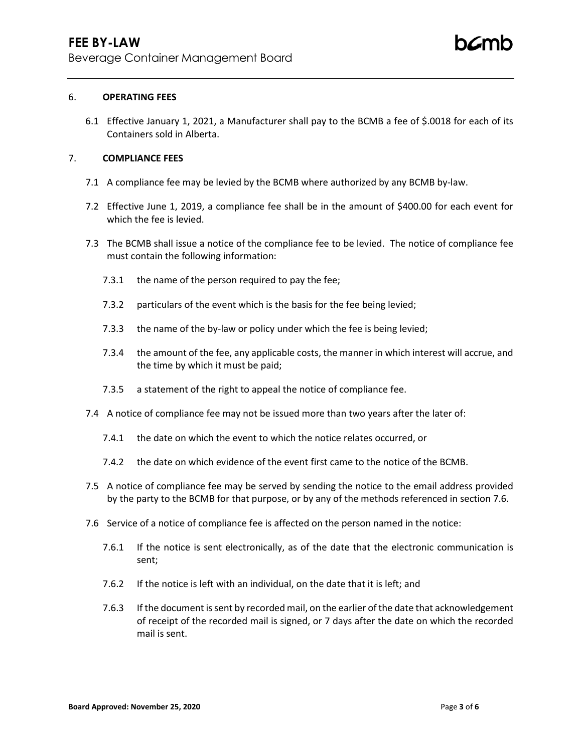### 6. **OPERATING FEES**

6.1 Effective January 1, 2021, a Manufacturer shall pay to the BCMB a fee of \$.0018 for each of its Containers sold in Alberta.

# 7. **COMPLIANCE FEES**

- 7.1 A compliance fee may be levied by the BCMB where authorized by any BCMB by-law.
- 7.2 Effective June 1, 2019, a compliance fee shall be in the amount of \$400.00 for each event for which the fee is levied.
- 7.3 The BCMB shall issue a notice of the compliance fee to be levied. The notice of compliance fee must contain the following information:
	- 7.3.1 the name of the person required to pay the fee;
	- 7.3.2 particulars of the event which is the basis for the fee being levied;
	- 7.3.3 the name of the by-law or policy under which the fee is being levied;
	- 7.3.4 the amount of the fee, any applicable costs, the manner in which interest will accrue, and the time by which it must be paid;
	- 7.3.5 a statement of the right to appeal the notice of compliance fee.
- 7.4 A notice of compliance fee may not be issued more than two years after the later of:
	- 7.4.1 the date on which the event to which the notice relates occurred, or
	- 7.4.2 the date on which evidence of the event first came to the notice of the BCMB.
- 7.5 A notice of compliance fee may be served by sending the notice to the email address provided by the party to the BCMB for that purpose, or by any of the methods referenced in section 7.6.
- 7.6 Service of a notice of compliance fee is affected on the person named in the notice:
	- 7.6.1 If the notice is sent electronically, as of the date that the electronic communication is sent;
	- 7.6.2 If the notice is left with an individual, on the date that it is left; and
	- 7.6.3 If the document is sent by recorded mail, on the earlier of the date that acknowledgement of receipt of the recorded mail is signed, or 7 days after the date on which the recorded mail is sent.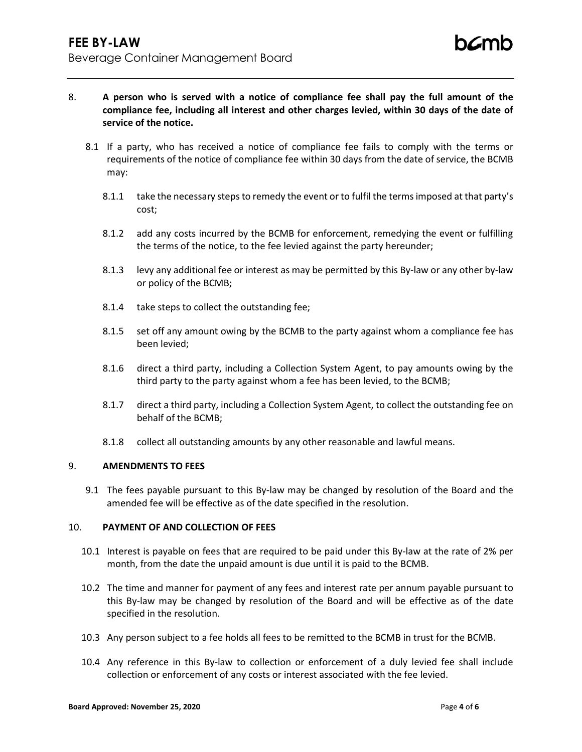- 8. **A person who is served with a notice of compliance fee shall pay the full amount of the compliance fee, including all interest and other charges levied, within 30 days of the date of service of the notice.**
	- 8.1 If a party, who has received a notice of compliance fee fails to comply with the terms or requirements of the notice of compliance fee within 30 days from the date of service, the BCMB may:
		- 8.1.1 take the necessary steps to remedy the event or to fulfil the terms imposed at that party's cost;
		- 8.1.2 add any costs incurred by the BCMB for enforcement, remedying the event or fulfilling the terms of the notice, to the fee levied against the party hereunder;
		- 8.1.3 levy any additional fee or interest as may be permitted by this By-law or any other by-law or policy of the BCMB;
		- 8.1.4 take steps to collect the outstanding fee;
		- 8.1.5 set off any amount owing by the BCMB to the party against whom a compliance fee has been levied;
		- 8.1.6 direct a third party, including a Collection System Agent, to pay amounts owing by the third party to the party against whom a fee has been levied, to the BCMB;
		- 8.1.7 direct a third party, including a Collection System Agent, to collect the outstanding fee on behalf of the BCMB;
		- 8.1.8 collect all outstanding amounts by any other reasonable and lawful means.

## 9. **AMENDMENTS TO FEES**

9.1 The fees payable pursuant to this By-law may be changed by resolution of the Board and the amended fee will be effective as of the date specified in the resolution.

# 10. **PAYMENT OF AND COLLECTION OF FEES**

- 10.1 Interest is payable on fees that are required to be paid under this By-law at the rate of 2% per month, from the date the unpaid amount is due until it is paid to the BCMB.
- 10.2 The time and manner for payment of any fees and interest rate per annum payable pursuant to this By-law may be changed by resolution of the Board and will be effective as of the date specified in the resolution.
- 10.3 Any person subject to a fee holds all fees to be remitted to the BCMB in trust for the BCMB.
- 10.4 Any reference in this By-law to collection or enforcement of a duly levied fee shall include collection or enforcement of any costs or interest associated with the fee levied.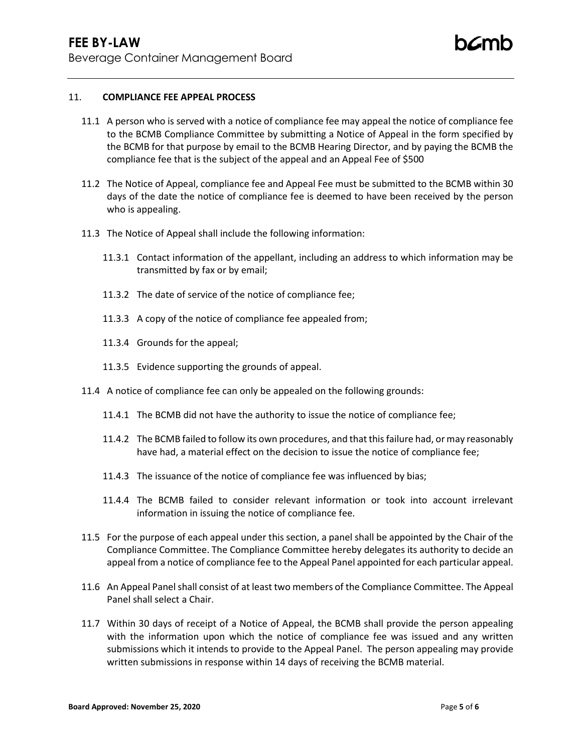### 11. **COMPLIANCE FEE APPEAL PROCESS**

- 11.1 A person who is served with a notice of compliance fee may appeal the notice of compliance fee to the BCMB Compliance Committee by submitting a Notice of Appeal in the form specified by the BCMB for that purpose by email to the BCMB Hearing Director, and by paying the BCMB the compliance fee that is the subject of the appeal and an Appeal Fee of \$500
- 11.2 The Notice of Appeal, compliance fee and Appeal Fee must be submitted to the BCMB within 30 days of the date the notice of compliance fee is deemed to have been received by the person who is appealing.
- 11.3 The Notice of Appeal shall include the following information:
	- 11.3.1 Contact information of the appellant, including an address to which information may be transmitted by fax or by email;
	- 11.3.2 The date of service of the notice of compliance fee;
	- 11.3.3 A copy of the notice of compliance fee appealed from;
	- 11.3.4 Grounds for the appeal;
	- 11.3.5 Evidence supporting the grounds of appeal.
- 11.4 A notice of compliance fee can only be appealed on the following grounds:
	- 11.4.1 The BCMB did not have the authority to issue the notice of compliance fee;
	- 11.4.2 The BCMB failed to follow its own procedures, and that this failure had, or may reasonably have had, a material effect on the decision to issue the notice of compliance fee;
	- 11.4.3 The issuance of the notice of compliance fee was influenced by bias;
	- 11.4.4 The BCMB failed to consider relevant information or took into account irrelevant information in issuing the notice of compliance fee.
- 11.5 For the purpose of each appeal under this section, a panel shall be appointed by the Chair of the Compliance Committee. The Compliance Committee hereby delegates its authority to decide an appeal from a notice of compliance fee to the Appeal Panel appointed for each particular appeal.
- 11.6 An Appeal Panel shall consist of at least two members of the Compliance Committee. The Appeal Panel shall select a Chair.
- 11.7 Within 30 days of receipt of a Notice of Appeal, the BCMB shall provide the person appealing with the information upon which the notice of compliance fee was issued and any written submissions which it intends to provide to the Appeal Panel. The person appealing may provide written submissions in response within 14 days of receiving the BCMB material.